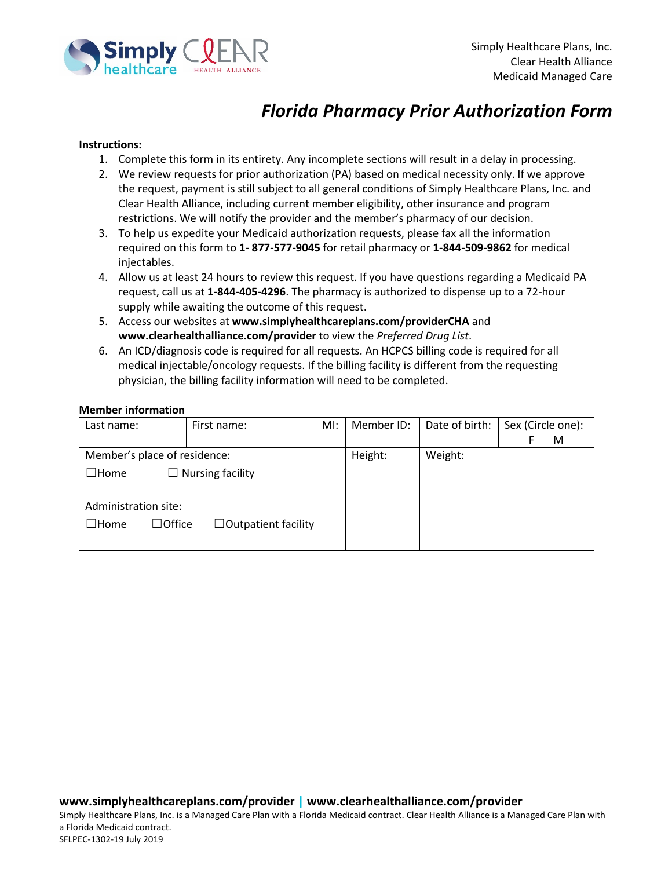

# *Florida Pharmacy Prior Authorization Form*

### **Instructions:**

- 1. Complete this form in its entirety. Any incomplete sections will result in a delay in processing.
- 2. We review requests for prior authorization (PA) based on medical necessity only. If we approve the request, payment is still subject to all general conditions of Simply Healthcare Plans, Inc. and Clear Health Alliance, including current member eligibility, other insurance and program restrictions. We will notify the provider and the member's pharmacy of our decision.
- 3. To help us expedite your Medicaid authorization requests, please fax all the information required on this form to **1- 877-577-9045** for retail pharmacy or **1-844-509-9862** for medical injectables.
- 4. Allow us at least 24 hours to review this request. If you have questions regarding a Medicaid PA request, call us at **1-844-405-4296**. The pharmacy is authorized to dispense up to a 72-hour supply while awaiting the outcome of this request.
- 5. Access our websites at **www.simplyhealthcareplans.com/providerCHA** and **www.clearhealthalliance.com/provider** to view the *Preferred Drug List*.
- 6. An ICD/diagnosis code is required for all requests. An HCPCS billing code is required for all medical injectable/oncology requests. If the billing facility is different from the requesting physician, the billing facility information will need to be completed.

#### **Member information**

| Last name:                   | First name:                | Ml: | Member ID: | Date of birth: | Sex (Circle one): |
|------------------------------|----------------------------|-----|------------|----------------|-------------------|
|                              |                            |     |            |                | M<br>F            |
| Member's place of residence: |                            |     | Height:    | Weight:        |                   |
| $\Box$ Home                  | $\Box$ Nursing facility    |     |            |                |                   |
|                              |                            |     |            |                |                   |
| Administration site:         |                            |     |            |                |                   |
| $\Box$ Office<br>$\Box$ Home | $\Box$ Outpatient facility |     |            |                |                   |
|                              |                            |     |            |                |                   |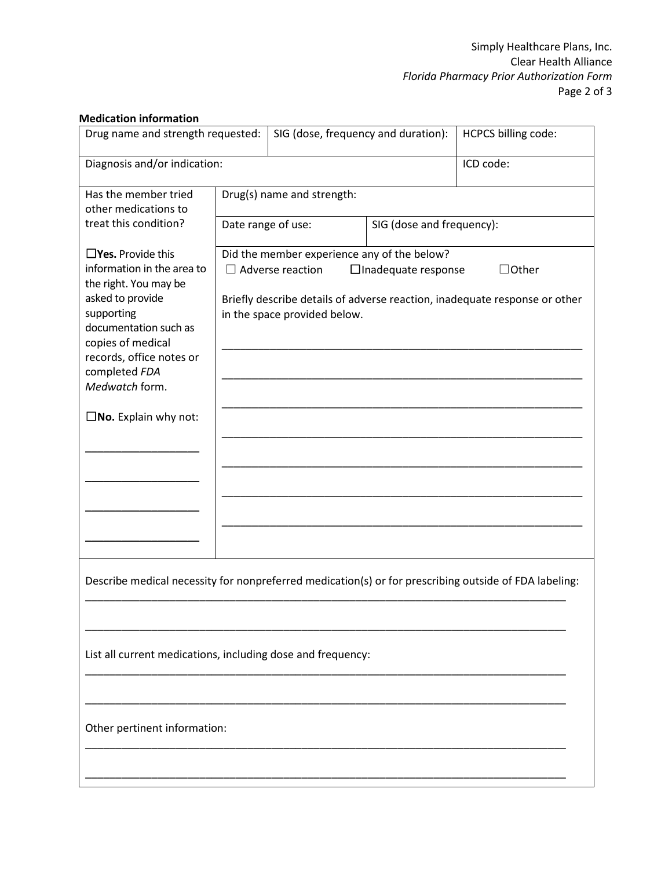## **Medication information**

| Drug name and strength requested:                                                                                                                                    |                                                                                                                                          | SIG (dose, frequency and duration):                                    |                           | <b>HCPCS billing code:</b> |  |  |
|----------------------------------------------------------------------------------------------------------------------------------------------------------------------|------------------------------------------------------------------------------------------------------------------------------------------|------------------------------------------------------------------------|---------------------------|----------------------------|--|--|
| Diagnosis and/or indication:                                                                                                                                         | ICD code:                                                                                                                                |                                                                        |                           |                            |  |  |
| Has the member tried<br>other medications to                                                                                                                         |                                                                                                                                          | Drug(s) name and strength:                                             |                           |                            |  |  |
| treat this condition?                                                                                                                                                |                                                                                                                                          | Date range of use:                                                     | SIG (dose and frequency): |                            |  |  |
| $\square$ Yes. Provide this<br>information in the area to                                                                                                            |                                                                                                                                          | Did the member experience any of the below?<br>$\Box$ Adverse reaction | $\Box$ Other              |                            |  |  |
| the right. You may be<br>asked to provide<br>supporting<br>documentation such as<br>copies of medical<br>records, office notes or<br>completed FDA<br>Medwatch form. | $\Box$ Inadequate response<br>Briefly describe details of adverse reaction, inadequate response or other<br>in the space provided below. |                                                                        |                           |                            |  |  |
| $\square$ <b>No.</b> Explain why not:                                                                                                                                |                                                                                                                                          |                                                                        |                           |                            |  |  |
|                                                                                                                                                                      |                                                                                                                                          |                                                                        |                           |                            |  |  |
|                                                                                                                                                                      |                                                                                                                                          |                                                                        |                           |                            |  |  |
|                                                                                                                                                                      |                                                                                                                                          |                                                                        |                           |                            |  |  |
|                                                                                                                                                                      |                                                                                                                                          |                                                                        |                           |                            |  |  |
| Describe medical necessity for nonpreferred medication(s) or for prescribing outside of FDA labeling:                                                                |                                                                                                                                          |                                                                        |                           |                            |  |  |
|                                                                                                                                                                      |                                                                                                                                          |                                                                        |                           |                            |  |  |
| List all current medications, including dose and frequency:                                                                                                          |                                                                                                                                          |                                                                        |                           |                            |  |  |
|                                                                                                                                                                      |                                                                                                                                          |                                                                        |                           |                            |  |  |
| Other pertinent information:                                                                                                                                         |                                                                                                                                          |                                                                        |                           |                            |  |  |
|                                                                                                                                                                      |                                                                                                                                          |                                                                        |                           |                            |  |  |